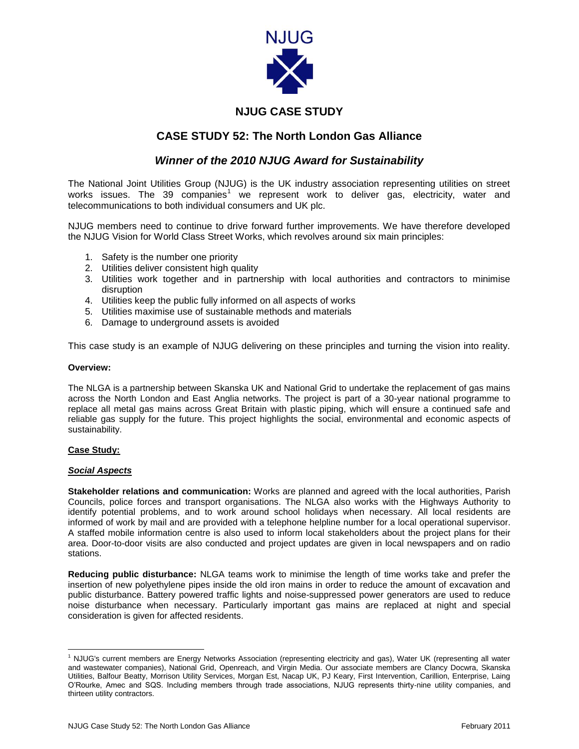

# **NJUG CASE STUDY**

## **CASE STUDY 52: The North London Gas Alliance**

### *Winner of the 2010 NJUG Award for Sustainability*

The National Joint Utilities Group (NJUG) is the UK industry association representing utilities on street works issues. The 39 companies<sup>1</sup> we represent work to deliver gas, electricity, water and telecommunications to both individual consumers and UK plc.

NJUG members need to continue to drive forward further improvements. We have therefore developed the NJUG Vision for World Class Street Works, which revolves around six main principles:

- 1. Safety is the number one priority
- 2. Utilities deliver consistent high quality
- 3. Utilities work together and in partnership with local authorities and contractors to minimise disruption
- 4. Utilities keep the public fully informed on all aspects of works
- 5. Utilities maximise use of sustainable methods and materials
- 6. Damage to underground assets is avoided

This case study is an example of NJUG delivering on these principles and turning the vision into reality.

#### **Overview:**

The NLGA is a partnership between Skanska UK and National Grid to undertake the replacement of gas mains across the North London and East Anglia networks. The project is part of a 30-year national programme to replace all metal gas mains across Great Britain with plastic piping, which will ensure a continued safe and reliable gas supply for the future. This project highlights the social, environmental and economic aspects of sustainability.

#### **Case Study:**

 $\overline{\phantom{a}}$ 

#### *Social Aspects*

**Stakeholder relations and communication:** Works are planned and agreed with the local authorities, Parish Councils, police forces and transport organisations. The NLGA also works with the Highways Authority to identify potential problems, and to work around school holidays when necessary. All local residents are informed of work by mail and are provided with a telephone helpline number for a local operational supervisor. A staffed mobile information centre is also used to inform local stakeholders about the project plans for their area. Door-to-door visits are also conducted and project updates are given in local newspapers and on radio stations.

**Reducing public disturbance:** NLGA teams work to minimise the length of time works take and prefer the insertion of new polyethylene pipes inside the old iron mains in order to reduce the amount of excavation and public disturbance. Battery powered traffic lights and noise-suppressed power generators are used to reduce noise disturbance when necessary. Particularly important gas mains are replaced at night and special consideration is given for affected residents.

<sup>1</sup> NJUG's current members are Energy Networks Association (representing electricity and gas), Water UK (representing all water and wastewater companies), National Grid, Openreach, and Virgin Media. Our associate members are Clancy Docwra, Skanska Utilities, Balfour Beatty, Morrison Utility Services, Morgan Est, Nacap UK, PJ Keary, First Intervention, Carillion, Enterprise, Laing O'Rourke, Amec and SQS. Including members through trade associations, NJUG represents thirty-nine utility companies, and thirteen utility contractors.